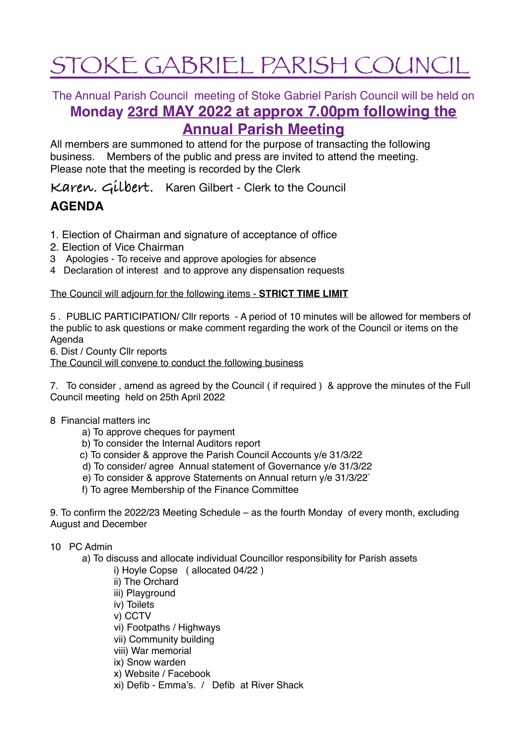# STOKE GABRIEL PARISH COUNCIL

The Annual Parish Council meeting of Stoke Gabriel Parish Council will be held on

# **Monday 23rd MAY 2022 at approx 7.00pm following the Annual Parish Meeting**

All members are summoned to attend for the purpose of transacting the following business. Members of the public and press are invited to attend the meeting. Please note that the meeting is recorded by the Clerk

**Karen. Gilbert.** Karen Gilbert - Clerk to the Council

## **AGENDA**

- 1. Election of Chairman and signature of acceptance of office
- 2. Election of Vice Chairman
- 3 Apologies To receive and approve apologies for absence
- 4 Declaration of interest and to approve any dispensation requests

## The Council will adjourn for the following items - **STRICT TIME LIMIT**

5 . PUBLIC PARTICIPATION/ Cllr reports - A period of 10 minutes will be allowed for members of the public to ask questions or make comment regarding the work of the Council or items on the Agenda

6. Dist / County Cllr reports

The Council will convene to conduct the following business

7. To consider , amend as agreed by the Council ( if required ) & approve the minutes of the Full Council meeting held on 25th April 2022

- 8 Financial matters inc
	- a) To approve cheques for payment
	- b) To consider the Internal Auditors report
	- c) To consider & approve the Parish Council Accounts y/e 31/3/22
	- d) To consider/ agree Annual statement of Governance y/e 31/3/22
	- e) To consider & approve Statements on Annual return y/e 31/3/22`
	- f) To agree Membership of the Finance Committee

9. To confirm the 2022/23 Meeting Schedule – as the fourth Monday of every month, excluding August and December

- 10 PC Admin
	- a) To discuss and allocate individual Councillor responsibility for Parish assets
		- i) Hoyle Copse ( allocated 04/22 )
		- ii) The Orchard
		- iii) Playground
		- iv) Toilets
		- v) CCTV
		- vi) Footpaths / Highways
		- vii) Community building
		- viii) War memorial
		- ix) Snow warden
		- x) Website / Facebook
		- xi) Defib Emma's. / Defib at River Shack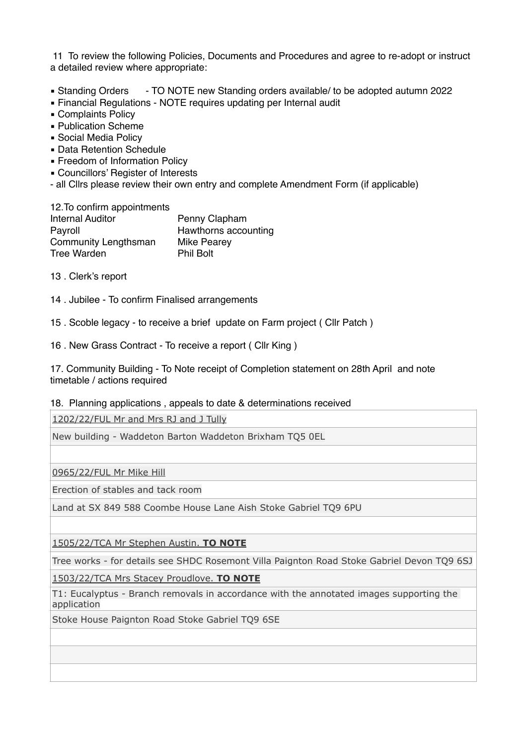11 To review the following Policies, Documents and Procedures and agree to re-adopt or instruct a detailed review where appropriate:

- Standing Orders TO NOTE new Standing orders available/ to be adopted autumn 2022
- **Einancial Regulations NOTE requires updating per Internal audit**
- Complaints Policy
- Publication Scheme
- **Social Media Policy**
- **Data Retention Schedule**
- Freedom of Information Policy
- **Exercial Councillors' Register of Interests**
- all Cllrs please review their own entry and complete Amendment Form (if applicable)

| 12. To confirm appointments |                      |
|-----------------------------|----------------------|
| <b>Internal Auditor</b>     | Penny Clapham        |
| Payroll                     | Hawthorns accounting |
| <b>Community Lengthsman</b> | Mike Pearey          |
| <b>Tree Warden</b>          | <b>Phil Bolt</b>     |

- 13 . Clerk's report
- 14 . Jubilee To confirm Finalised arrangements
- 15 . Scoble legacy to receive a brief update on Farm project ( Cllr Patch )
- 16 . New Grass Contract To receive a report ( Cllr King )

17. Community Building - To Note receipt of Completion statement on 28th April and note timetable / actions required

### 18. Planning applications , appeals to date & determinations received

[1202/22/FUL Mr and Mrs RJ and J Tully](http://apps.southhams.gov.uk/PlanningSearchMVC/Home/Details/221202)

New building - Waddeton Barton Waddeton Brixham TQ5 0EL

[0965/22/FUL Mr Mike Hill](http://apps.southhams.gov.uk/PlanningSearchMVC/Home/Details/220965)

Erection of stables and tack room

Land at SX 849 588 Coombe House Lane Aish Stoke Gabriel TQ9 6PU

[1505/22/TCA Mr Stephen Austin](http://apps.southhams.gov.uk/PlanningSearchMVC/Home/Details/221505). **TO NOTE**

Tree works - for details see SHDC Rosemont Villa Paignton Road Stoke Gabriel Devon TQ9 6SJ

[1503/22/TCA Mrs Stacey Proudlove.](http://apps.southhams.gov.uk/PlanningSearchMVC/Home/Details/221503) **TO NOTE**

T1: Eucalyptus - Branch removals in accordance with the annotated images supporting the application

Stoke House Paignton Road Stoke Gabriel TQ9 6SE